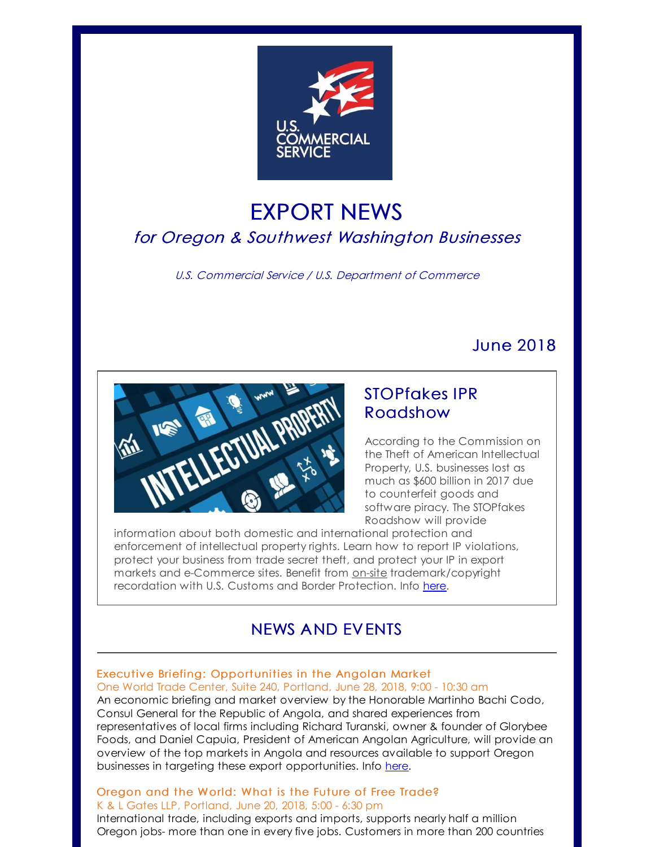

# EXPORT NEWS for Oregon & Southwest Washington Businesses

U.S. Commercial Service / U.S. Department of Commerce

## June 2018



## STOPfakes IPR Roadshow

According to the Commission on the Theft of American Intellectual Property, U.S. businesses lost as much as \$600 billion in 2017 due to counterfeit goods and software piracy. The STOPfakes Roadshow will provide

information about both domestic and international protection and enforcement of intellectual property rights. Learn how to report IP violations, protect your business from trade secret theft, and protect your IP in export markets and e-Commerce sites. Benefit from on-site trademark/copyright recordation with U.S. Customs and Border Protection. Info [here](http://r20.rs6.net/tn.jsp?f=001ou2qsiiWjmNzt4ebzICWTrQpScKN7rVtYBvu_C9VvYgeG4ZTUeR4Tp9liCHGKSKpDji0iD0pdKL6a6yynoL6TyNberVP2JPsy24Vmx_T8S-tUFn_Qq1tL-gmD5akgKNqcdR8I8fiBCXmRl9jPKKg3WPXr2SYh8G1KjUCSwV_nENTiBYxb22WLB3AX9-fkUogzK-ScZLeYPTvOHqRup15cjJXA_m6eunLUGg2ZsoFopRO9zjCJ9XUxQxguGEJfeuWymnowyqLL84yyr1lMimq3g==&c=&ch=).

## NEWS AND EVENTS

### Executive Briefing: Opportunities in the Angolan Market One World Trade Center, Suite 240, Portland, June 28, 2018, 9:00 - 10:30 am

An economic briefing and market overview by the Honorable Martinho Bachi Codo, Consul General for the Republic of Angola, and shared experiences from representatives of local firms including Richard Turanski, owner & founder of Glorybee Foods, and Daniel Capuia, President of American Angolan Agriculture, will provide an overview of the top markets in Angola and resources available to support Oregon businesses in targeting these export opportunities. Info [here](http://r20.rs6.net/tn.jsp?f=001ou2qsiiWjmNzt4ebzICWTrQpScKN7rVtYBvu_C9VvYgeG4ZTUeR4Tp9liCHGKSKpAXbu-X76OT9W6WJpo2BavSvrAphcdazWlNyF3d9TwiQdNW8J0bt3NUZlOay1VEl9TJUx5I0XDYT36Q6wr4ITJJ_mYeq7HBx0nlJ8xkTSElKLszCKKjHmTmokMLUJlvAOvwf960nA1R7Ea5dIoSg_iFgOXvXrjkWNy6SoCKG3hggHTvm-BRqAzfHmI1SYMCRoNXKUyjeYOFpqnlqbyqRCTw==&c=&ch=).

### Oregon and the World: What is the Future of Free Trade? K & L Gates LLP, Portland, June 20, 2018, 5:00 - 6:30 pm

International trade, including exports and imports, supports nearly half a million Oregon jobs- more than one in every five jobs. Customers in more than 200 countries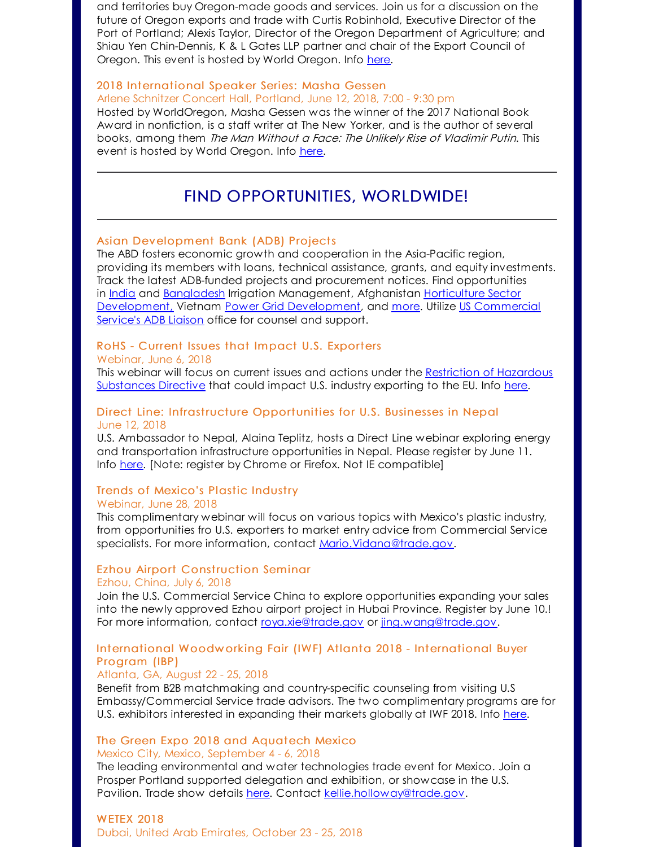and territories buy Oregon-made goods and services. Join us for a discussion on the future of Oregon exports and trade with Curtis Robinhold, Executive Director of the Port of Portland; Alexis Taylor, Director of the Oregon Department of Agriculture; and Shiau Yen Chin-Dennis, K & L Gates LLP partner and chair of the Export Council of Oregon. This event is hosted by World Oregon. Info [here](http://r20.rs6.net/tn.jsp?f=001ou2qsiiWjmNzt4ebzICWTrQpScKN7rVtYBvu_C9VvYgeG4ZTUeR4Tp9liCHGKSKpazoF8cnaSDCDHaB5SGYiog63VADAhlXHrq9I2flu4NvgbhWPxFy7RVR96QQOhX5folO3qYYTSuCdWuFdXGWcCNq-3p2MorDXveGDsrUQ2tDM0e8mAzEs12tF4Kf0Ptdd7VtPH3IsAm2bMMzBXPgIUXBD_P905IoYTLONHnPsSX0=&c=&ch=).

### 2018 [International](http://r20.rs6.net/tn.jsp?f=001ou2qsiiWjmNzt4ebzICWTrQpScKN7rVtYBvu_C9VvYgeG4ZTUeR4Tp9liCHGKSKpeMT_GgeH8pw7kbsjC3-KyCaLr9W_InmHC4z27jFkCH34C3GvcCvxkQ1ui8ORIV3eKmfWCXmq-PTtXysszUogML5Vrw-kvcCqiQA_md6B4fBJdwNb0WhBTMgTRjyScCgkBF1ijLJH61pEmyjR4O6vItF5bw8w9vbqEhfxjK0PDaLh2ceafzPZ6A==&c=&ch=) Speaker Series: Masha Gessen

Arlene Schnitzer Concert Hall, Portland, June 12, 2018, 7:00 - 9:30 pm

Hosted by WorldOregon, Masha Gessen was the winner of the 2017 National Book Award in nonfiction, is a staff writer at The New Yorker, and is the author of several books, among them The Man Without <sup>a</sup> Face: The Unlikely Rise of Vladimir Putin. This event is hosted by World Oregon. Info [here](http://r20.rs6.net/tn.jsp?f=001ou2qsiiWjmNzt4ebzICWTrQpScKN7rVtYBvu_C9VvYgeG4ZTUeR4Tp9liCHGKSKpeMT_GgeH8pw7kbsjC3-KyCaLr9W_InmHC4z27jFkCH34C3GvcCvxkQ1ui8ORIV3eKmfWCXmq-PTtXysszUogML5Vrw-kvcCqiQA_md6B4fBJdwNb0WhBTMgTRjyScCgkBF1ijLJH61pEmyjR4O6vItF5bw8w9vbqEhfxjK0PDaLh2ceafzPZ6A==&c=&ch=).

## FIND OPPORTUNITIES, WORLDWIDE!

#### Asian [Development](http://r20.rs6.net/tn.jsp?f=001ou2qsiiWjmNzt4ebzICWTrQpScKN7rVtYBvu_C9VvYgeG4ZTUeR4Tp9liCHGKSKpLGQu7IOEAqUkDyn6rBhIfjthYRto2gDA9OH-4FSxkW29YMoPbm5VsINsTuqR2ahECpKNQ5xNGWtYsSSjgdaUOAXmnd4m5KNLtpMdAG09cZQ=&c=&ch=) Bank (ADB) Projects

The ABD fosters economic growth and cooperation in the Asia-Pacific region, providing its members with loans, technical assistance, grants, and equity investments. Track the latest ADB-funded projects and procurement notices. Find opportunities in [India](http://r20.rs6.net/tn.jsp?f=001ou2qsiiWjmNzt4ebzICWTrQpScKN7rVtYBvu_C9VvYgeG4ZTUeR4Tp9liCHGKSKpNzuBnzLo6Wq2BJS_7Ld8BJVDvFR-tVo8vMZhn78yfR8AfNMkwmw3JRrSw7EbQCfIpEpAolXuiM-vZqzzKm34MQX8j7XbvzTEqjk3s_2Jtdeu4sARPzr8A-L0kMZwMDhapssimmEt79_95tbxlbqJa7AN0zW6Y-WAnhCkY0gnkgRlwBK3FQAKzRbP9MBSx5y_&c=&ch=) and [Bangladesh](http://r20.rs6.net/tn.jsp?f=001ou2qsiiWjmNzt4ebzICWTrQpScKN7rVtYBvu_C9VvYgeG4ZTUeR4Tp9liCHGKSKpvAE9WBTz0Y6-zdmFVXOo5AL12TMk0TAdbf-WwRUHDCseeEBz4PClSt0qdJWbx36ptYqcVIi7A9xAyOi1a7nvfLpykmnBqFQ2vHBGc2xH0K2c_RN13TpxX-jPWKldx3KcQa7XXSEiQAO2nVIxCyxHgYNcfr0_IA-JjtkdMmNujQE=&c=&ch=) Irrigation [Management,](http://r20.rs6.net/tn.jsp?f=001ou2qsiiWjmNzt4ebzICWTrQpScKN7rVtYBvu_C9VvYgeG4ZTUeR4Tp9liCHGKSKpPHOtQrXpz0k2gnQHTI5aGJZCbAMdyqsDkuEPe9magVqHV--sJrt_0xPI9ZRx4wqQI9yVXBa1t4wm3D4ZH42vLKsj4iypOXceUkW8sVGa7NE5L7NntfZj2eF0oDyDJFcys0m7vSgcbLY=&c=&ch=) Afghanistan Horticulture Sector [Development,](http://r20.rs6.net/tn.jsp?f=001ou2qsiiWjmNzt4ebzICWTrQpScKN7rVtYBvu_C9VvYgeG4ZTUeR4Tp9liCHGKSKpNhHkIazkuJSH_nEEDFh17Exb-vDP_p1PoYfGv-3f_uuEa1NWdjNjIT0FkTswhiwAD0CvTYOrrYi-M83aouImSxJyydVxWWbA-dXvlFVmGEpRooWLUQpu3w==&c=&ch=) Vietnam Power Grid [Development](http://r20.rs6.net/tn.jsp?f=001ou2qsiiWjmNzt4ebzICWTrQpScKN7rVtYBvu_C9VvYgeG4ZTUeR4Tp9liCHGKSKp-vplxbFy0yizhy_uL1dHR1L6F3dJsOhMhWrlewmq1WkcFfpF6w5STjAF8jHorCU2r2jalpQUHQ60d4n2TvyB6OpAWUy6gmnwczLKMA8eSXZpyz1zrydVsdBqmYqjyDLJjivMDeSjIyl3dRC7SkVDwOIZIeM061ImdYhLakoaQiOWT5vKoCsXCw==&c=&ch=), and [more](http://r20.rs6.net/tn.jsp?f=001ou2qsiiWjmNzt4ebzICWTrQpScKN7rVtYBvu_C9VvYgeG4ZTUeR4Tp9liCHGKSKp3bVcKREJ_dx9siOw69NPARvHXZW_OLbjldYOrs5eTed15B3kzUoniz3u_CI6DnTD9Cs-Ay0iXeGanx4iwN1jyrWvD_sOfgC1Mk6Sv-OJfHcsLVD_tmLJkhPEeAwwlD41_BFSadrYSyZRi2H0uFiQvK9f4Is-vaWAX-MXW6K_Fdg=&c=&ch=). Utilize US Commercial Service's ADB Liaison office for counsel and support.

#### RoHS - Current Issues that Impact U.S. [Exporters](http://r20.rs6.net/tn.jsp?f=001ou2qsiiWjmNzt4ebzICWTrQpScKN7rVtYBvu_C9VvYgeG4ZTUeR4Tp9liCHGKSKpCtT6S3MiYBw_Qq_mUV1hM6wXciKeWdrNE6KofoTZMCUgCI7gZfIy9hNWlgB2PzuXwvJdR4RrRGXKC0d1qAAKd5toqDpkADKQRZTGvJwJjqW3mfjGp9AAfFWi-bIjfhL154r7ybnj5Yjnc-vTf5iuMFZdIk2lhUnBfdHgLYKhSVjduForRhCEvw==&c=&ch=)

#### Webinar, June 6, 2018

This webinar will focus on current issues and actions under the Restriction of Hazardous [Substances](http://r20.rs6.net/tn.jsp?f=001ou2qsiiWjmNzt4ebzICWTrQpScKN7rVtYBvu_C9VvYgeG4ZTUeR4Tp9liCHGKSKpgyotutMnfqfO3Z6IFrejYa_uqY-IeXnkWbLDi9QHEVCjG5suwqcZ_q1p598BZyvCV4NdmsNl3cG-ZFXvLx7mni-SNHUTkb1J4dClGIPUV8s=&c=&ch=) Directive that could impact U.S. industry exporting to the EU. Info [here](http://r20.rs6.net/tn.jsp?f=001ou2qsiiWjmNzt4ebzICWTrQpScKN7rVtYBvu_C9VvYgeG4ZTUeR4Tp9liCHGKSKpCtT6S3MiYBw_Qq_mUV1hM6wXciKeWdrNE6KofoTZMCUgCI7gZfIy9hNWlgB2PzuXwvJdR4RrRGXKC0d1qAAKd5toqDpkADKQRZTGvJwJjqW3mfjGp9AAfFWi-bIjfhL154r7ybnj5Yjnc-vTf5iuMFZdIk2lhUnBfdHgLYKhSVjduForRhCEvw==&c=&ch=).

#### Direct Line: Infrastructure [Opportunities](http://r20.rs6.net/tn.jsp?f=001ou2qsiiWjmNzt4ebzICWTrQpScKN7rVtYBvu_C9VvYgeG4ZTUeR4Tp9liCHGKSKpXHqGlCv8FumM0XdcMePGbsdky7FOkw5Ar4JVu6iGYcfYJoTdiDFU8bJm7_ezFrWlLbO7MFkPrTzsHajCulng8r74cS-yUsJhb482fcg1lo1Rym8Ac7XR_QfvfJRGiKoyoajlAh5bzlMBZv3ffeTEt2NpITkLZJIb&c=&ch=) for U.S. Businesses in Nepal June 12, 2018

U.S. Ambassador to Nepal, Alaina Teplitz, hosts a Direct Line webinar exploring energy and transportation infrastructure opportunities in Nepal. Please register by June 11. Info [here](http://r20.rs6.net/tn.jsp?f=001ou2qsiiWjmNzt4ebzICWTrQpScKN7rVtYBvu_C9VvYgeG4ZTUeR4Tp9liCHGKSKpXHqGlCv8FumM0XdcMePGbsdky7FOkw5Ar4JVu6iGYcfYJoTdiDFU8bJm7_ezFrWlLbO7MFkPrTzsHajCulng8r74cS-yUsJhb482fcg1lo1Rym8Ac7XR_QfvfJRGiKoyoajlAh5bzlMBZv3ffeTEt2NpITkLZJIb&c=&ch=). [Note: register by Chrome or Firefox. Not IE compatible]

## Trends of Mexico's Plastic Industry

#### Webinar, June 28, 2018

This complimentary webinar will focus on various topics with Mexico's plastic industry, from opportunities fro U.S. exporters to market entry advice from Commercial Service specialists. For more information, contact [Mario.Vidana@trade.gov](mailto:Mario.Vidana@trade.gov).

#### Ezhou Airport Construction Seminar

#### Ezhou, China, July 6, 2018

Join the U.S. Commercial Service China to explore opportunities expanding your sales into the newly approved Ezhou airport project in Hubai Province. Register by June 10.! For more information, contact [roya.xie@trade.gov](mailto:roya.xie@trade.gov) or [jing.wang@trade.gov](mailto:jing.wang@trade.gov).

### [International](http://r20.rs6.net/tn.jsp?f=001ou2qsiiWjmNzt4ebzICWTrQpScKN7rVtYBvu_C9VvYgeG4ZTUeR4Tp9liCHGKSKpVAyDxCxEr9sMp2bnd5Ek2N1MQdWexC6adiMADTHp1CcVRU8xjphYqZNvwev50GpuhfN6tsuU1eHKN7l8qolO3vumh6X0w56EZj0ogkYNpKjmzXOuy6rBn-5JGCx-3tOHRD3Vdf8BQuBnLuXWH7rp4soF8aJhk9YW&c=&ch=) Woodw orking Fair (IWF) Atlanta 2018 - International Buyer Program (IBP)

#### Atlanta, GA, August 22 - 25, 2018

Benefit from B2B matchmaking and country-specific counseling from visiting U.S Embassy/Commercial Service trade advisors. The two complimentary programs are for U.S. exhibitors interested in expanding their markets globally at IWF 2018. Info [here](http://r20.rs6.net/tn.jsp?f=001ou2qsiiWjmNzt4ebzICWTrQpScKN7rVtYBvu_C9VvYgeG4ZTUeR4Tp9liCHGKSKpVAyDxCxEr9sMp2bnd5Ek2N1MQdWexC6adiMADTHp1CcVRU8xjphYqZNvwev50GpuhfN6tsuU1eHKN7l8qolO3vumh6X0w56EZj0ogkYNpKjmzXOuy6rBn-5JGCx-3tOHRD3Vdf8BQuBnLuXWH7rp4soF8aJhk9YW&c=&ch=).

#### The [Green](http://r20.rs6.net/tn.jsp?f=001ou2qsiiWjmNzt4ebzICWTrQpScKN7rVtYBvu_C9VvYgeG4ZTUeR4Tp9liCHGKSKpLl9xYJj9Mn5elRMHIHnbpL6QHYBE0xm242Sfgbi8tvHHNu5imRzy35svBHg0n9FVN66hgZQNrfMMBbZ5Yrp7C5ePm3bJeUvRrWkfpT-_bzGeD-v5ypMFGFr0oJVt5Aw1ieFdd1fsz8n6_9GgeWg4Ug==&c=&ch=) Expo 2018 and Aquatech Mexico Mexico City, Mexico, September 4 - 6, 2018

The leading environmental and water technologies trade event for Mexico. Join a Prosper Portland supported delegation and exhibition, or showcase in the U.S. Pavilion. Trade show details [here.](http://r20.rs6.net/tn.jsp?f=001ou2qsiiWjmNzt4ebzICWTrQpScKN7rVtYBvu_C9VvYgeG4ZTUeR4Tp9liCHGKSKpLl9xYJj9Mn5elRMHIHnbpL6QHYBE0xm242Sfgbi8tvHHNu5imRzy35svBHg0n9FVN66hgZQNrfMMBbZ5Yrp7C5ePm3bJeUvRrWkfpT-_bzGeD-v5ypMFGFr0oJVt5Aw1ieFdd1fsz8n6_9GgeWg4Ug==&c=&ch=) Contact [kellie.holloway@trade.gov](mailto:kellie.holloway@trade.gov).

## [WETEX](http://r20.rs6.net/tn.jsp?f=001ou2qsiiWjmNzt4ebzICWTrQpScKN7rVtYBvu_C9VvYgeG4ZTUeR4Tp9liCHGKSKptTaeZfc3-rr5RN1Mvi1Ab0TdmLq5nYTu6DhpciGCH0ebddepoIupE18PhgaU_jjTCw36EHGlO90TYd8QQKEpEfGOEN0d1DHUbZTpIHQutkE=&c=&ch=) 2018

Dubai, United Arab Emirates, October 23 - 25, 2018